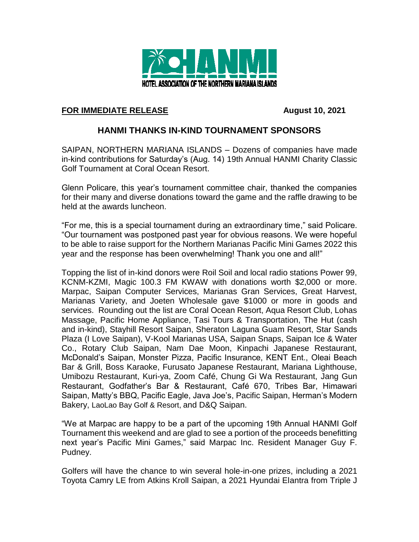

## **FOR IMMEDIATE RELEASE August 10, 2021**

## **HANMI THANKS IN-KIND TOURNAMENT SPONSORS**

SAIPAN, NORTHERN MARIANA ISLANDS – Dozens of companies have made in-kind contributions for Saturday's (Aug. 14) 19th Annual HANMI Charity Classic Golf Tournament at Coral Ocean Resort.

Glenn Policare, this year's tournament committee chair, thanked the companies for their many and diverse donations toward the game and the raffle drawing to be held at the awards luncheon.

"For me, this is a special tournament during an extraordinary time," said Policare. "Our tournament was postponed past year for obvious reasons. We were hopeful to be able to raise support for the Northern Marianas Pacific Mini Games 2022 this year and the response has been overwhelming! Thank you one and all!"

Topping the list of in-kind donors were Roil Soil and local radio stations Power 99, KCNM-KZMI, Magic 100.3 FM KWAW with donations worth \$2,000 or more. Marpac, Saipan Computer Services, Marianas Gran Services, Great Harvest, Marianas Variety, and Joeten Wholesale gave \$1000 or more in goods and services. Rounding out the list are Coral Ocean Resort, Aqua Resort Club, Lohas Massage, Pacific Home Appliance, Tasi Tours & Transportation, The Hut (cash and in-kind), Stayhill Resort Saipan, Sheraton Laguna Guam Resort, Star Sands Plaza (I Love Saipan), V-Kool Marianas USA, Saipan Snaps, Saipan Ice & Water Co., Rotary Club Saipan, Nam Dae Moon, Kinpachi Japanese Restaurant, McDonald's Saipan, Monster Pizza, Pacific Insurance, KENT Ent., Oleai Beach Bar & Grill, Boss Karaoke, Furusato Japanese Restaurant, Mariana Lighthouse, Umibozu Restaurant, Kuri-ya, Zoom Café, Chung Gi Wa Restaurant, Jang Gun Restaurant, Godfather's Bar & Restaurant, Café 670, Tribes Bar, Himawari Saipan, Matty's BBQ, Pacific Eagle, Java Joe's, Pacific Saipan, Herman's Modern Bakery, LaoLao Bay Golf & Resort, and D&Q Saipan.

"We at Marpac are happy to be a part of the upcoming 19th Annual HANMI Golf Tournament this weekend and are glad to see a portion of the proceeds benefitting next year's Pacific Mini Games," said Marpac Inc. Resident Manager Guy F. Pudney.

Golfers will have the chance to win several hole-in-one prizes, including a 2021 Toyota Camry LE from Atkins Kroll Saipan, a 2021 Hyundai Elantra from Triple J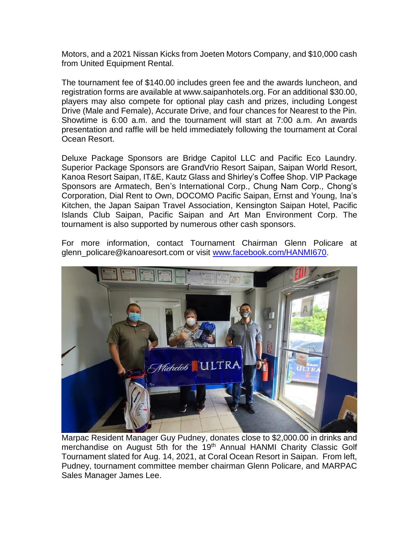Motors, and a 2021 Nissan Kicks from Joeten Motors Company, and \$10,000 cash from United Equipment Rental.

The tournament fee of \$140.00 includes green fee and the awards luncheon, and registration forms are available at www.saipanhotels.org. For an additional \$30.00, players may also compete for optional play cash and prizes, including Longest Drive (Male and Female), Accurate Drive, and four chances for Nearest to the Pin. Showtime is 6:00 a.m. and the tournament will start at 7:00 a.m. An awards presentation and raffle will be held immediately following the tournament at Coral Ocean Resort.

Deluxe Package Sponsors are Bridge Capitol LLC and Pacific Eco Laundry. Superior Package Sponsors are GrandVrio Resort Saipan, Saipan World Resort, Kanoa Resort Saipan, IT&E, Kautz Glass and Shirley's Coffee Shop. VIP Package Sponsors are Armatech, Ben's International Corp., Chung Nam Corp., Chong's Corporation, Dial Rent to Own, DOCOMO Pacific Saipan, Ernst and Young, Ina's Kitchen, the Japan Saipan Travel Association, Kensington Saipan Hotel, Pacific Islands Club Saipan, Pacific Saipan and Art Man Environment Corp. The tournament is also supported by numerous other cash sponsors.

For more information, contact Tournament Chairman Glenn Policare at glenn\_policare@kanoaresort.com or visit [www.facebook.com/HANMI670.](http://www.facebook.com/HANMI670)



Marpac Resident Manager Guy Pudney, donates close to \$2,000.00 in drinks and merchandise on August 5th for the 19<sup>th</sup> Annual HANMI Charity Classic Golf Tournament slated for Aug. 14, 2021, at Coral Ocean Resort in Saipan. From left, Pudney, tournament committee member chairman Glenn Policare, and MARPAC Sales Manager James Lee.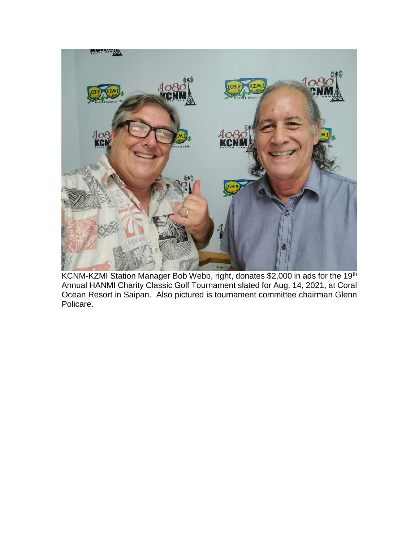

KCNM-KZMI Station Manager Bob Webb, right, donates \$2,000 in ads for the 19<sup>th</sup> Annual HANMI Charity Classic Golf Tournament slated for Aug. 14, 2021, at Coral Ocean Resort in Saipan. Also pictured is tournament committee chairman Glenn Policare.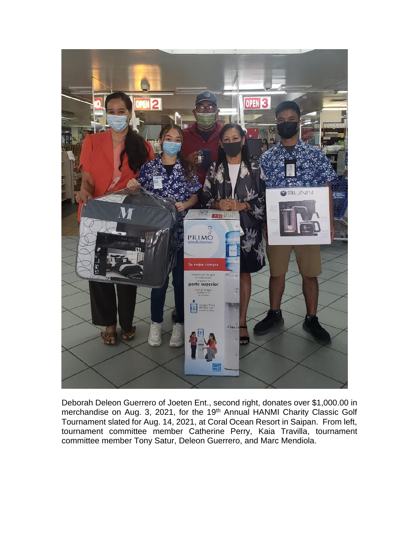

Deborah Deleon Guerrero of Joeten Ent., second right, donates over \$1,000.00 in merchandise on Aug. 3, 2021, for the 19<sup>th</sup> Annual HANMI Charity Classic Golf Tournament slated for Aug. 14, 2021, at Coral Ocean Resort in Saipan. From left, tournament committee member Catherine Perry, Kaia Travilla, tournament committee member Tony Satur, Deleon Guerrero, and Marc Mendiola.